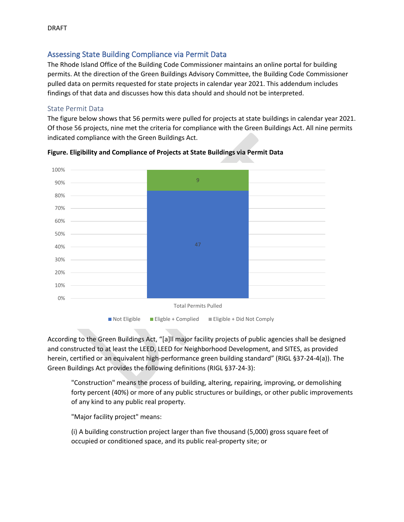## Assessing State Building Compliance via Permit Data

The Rhode Island Office of the Building Code Commissioner maintains an online portal for building permits. At the direction of the Green Buildings Advisory Committee, the Building Code Commissioner pulled data on permits requested for state projects in calendar year 2021. This addendum includes findings of that data and discusses how this data should and should not be interpreted.

## State Permit Data

The figure below shows that 56 permits were pulled for projects at state buildings in calendar year 2021. Of those 56 projects, nine met the criteria for compliance with the Green Buildings Act. All nine permits indicated compliance with the Green Buildings Act.



**Figure. Eligibility and Compliance of Projects at State Buildings via Permit Data**

According to the Green Buildings Act, "[a]ll major facility projects of public agencies shall be designed and constructed to at least the LEED, LEED for Neighborhood Development, and SITES, as provided herein, certified or an equivalent high-performance green building standard" (RIGL §37-24-4(a)). The Green Buildings Act provides the following definitions (RIGL §37-24-3):

"Construction" means the process of building, altering, repairing, improving, or demolishing forty percent (40%) or more of any public structures or buildings, or other public improvements of any kind to any public real property.

"Major facility project" means:

(i) A building construction project larger than five thousand (5,000) gross square feet of occupied or conditioned space, and its public real-property site; or